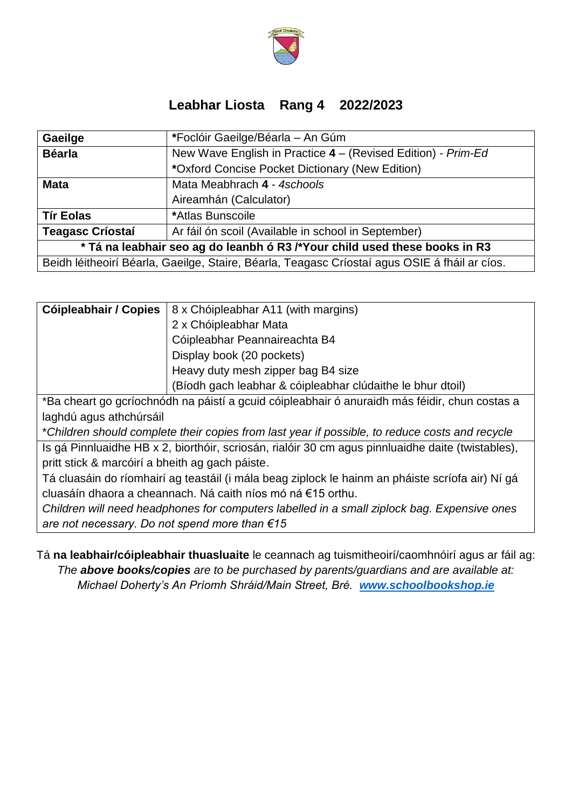

## **Leabhar Liosta Rang 4 2022/2023**

| Gaeilge                                                                                       | *Foclóir Gaeilge/Béarla - An Gúm                             |  |
|-----------------------------------------------------------------------------------------------|--------------------------------------------------------------|--|
| <b>Béarla</b>                                                                                 | New Wave English in Practice 4 – (Revised Edition) - Prim-Ed |  |
|                                                                                               | *Oxford Concise Pocket Dictionary (New Edition)              |  |
| <b>Mata</b>                                                                                   | Mata Meabhrach 4 - 4schools                                  |  |
|                                                                                               | Aireamhán (Calculator)                                       |  |
| <b>Tír Eolas</b>                                                                              | *Atlas Bunscoile                                             |  |
| <b>Teagasc Críostaí</b>                                                                       | Ar fáil ón scoil (Available in school in September)          |  |
| * Tá na leabhair seo ag do leanbh ó R3 /*Your child used these books in R3                    |                                                              |  |
| Beidh léitheoirí Béarla, Gaeilge, Staire, Béarla, Teagasc Críostaí agus OSIE á fháil ar cíos. |                                                              |  |

|                           | <b>Cóipleabhair / Copies</b> $ 8 \times$ Chóipleabhar A11 (with margins)                      |  |
|---------------------------|-----------------------------------------------------------------------------------------------|--|
|                           | 2 x Chóipleabhar Mata                                                                         |  |
|                           | Cóipleabhar Peannaireachta B4                                                                 |  |
| Display book (20 pockets) |                                                                                               |  |
|                           | Heavy duty mesh zipper bag B4 size                                                            |  |
|                           | (Bíodh gach leabhar & cóipleabhar clúdaithe le bhur dtoil)                                    |  |
|                           | *Ba cheart go gcríochnódh na páistí a gcuid cóipleabhair ó anuraidh más féidir, chun costas a |  |

laghdú agus athchúrsáil

\**Children should complete their copies from last year if possible, to reduce costs and recycle*

Is gá Pinnluaidhe HB x 2, biorthóir, scriosán, rialóir 30 cm agus pinnluaidhe daite (twistables), pritt stick & marcóirí a bheith ag gach páiste.

Tá cluasáin do ríomhairí ag teastáil (i mála beag ziplock le hainm an pháiste scríofa air) Ní gá cluasáín dhaora a cheannach. Ná caith níos mó ná €15 orthu.

*Children will need headphones for computers labelled in a small ziplock bag. Expensive ones are not necessary. Do not spend more than €15*

Tá **na leabhair/cóipleabhair thuasluaite** le ceannach ag tuismitheoirí/caomhnóirí agus ar fáil ag: *The above books/copies are to be purchased by parents/guardians and are available at: Michael Doherty's An Príomh Shráid/Main Street, Bré. [www.schoolbookshop.ie](http://www.schoolbookshop.ie/)*